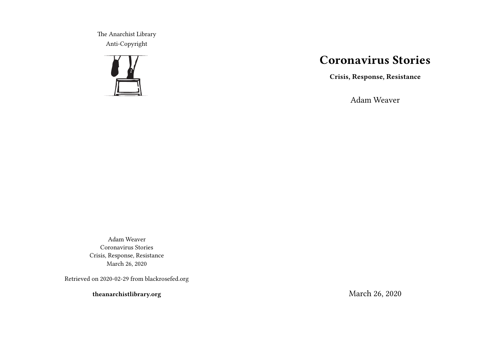The Anarchist Library Anti-Copyright



# **Coronavirus Stories**

**Crisis, Response, Resistance**

Adam Weaver

Adam Weaver Coronavirus Stories Crisis, Response, Resistance March 26, 2020

Retrieved on 2020-02-29 from blackrosefed.org

**theanarchistlibrary.org**

March 26, 2020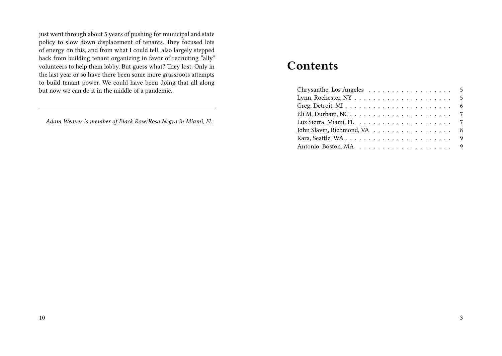just went through about 5 years of pushing for municipal and state policy to slow down displacement of tenants. They focused lots of energy on this, and from what I could tell, also largely stepped back from building tenant organizing in favor of recruiting "ally" volunteers to help them lobby. But guess what? They lost. Only in the last year or so have there been some more grassroots attempts to build tenant power. We could have been doing that all along but now we can do it in the middle of a pandemic.

*Adam Weaver is member of Black Rose/Rosa Negra in Miami, FL.*

# **Contents**

| Luz Sierra, Miami, FL $\ldots \ldots \ldots \ldots \ldots \ldots \ldots$ |  |
|--------------------------------------------------------------------------|--|
|                                                                          |  |
|                                                                          |  |
|                                                                          |  |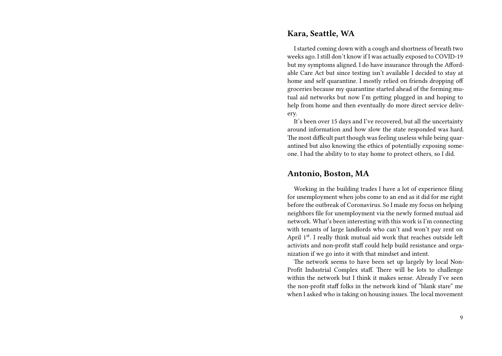#### **Kara, Seattle, WA**

I started coming down with a cough and shortness of breath two weeks ago. I still don't know if I was actually exposed to COVID-19 but my symptoms aligned. I do have insurance through the Affordable Care Act but since testing isn't available I decided to stay at home and self quarantine. I mostly relied on friends dropping off groceries because my quarantine started ahead of the forming mutual aid networks but now I'm getting plugged in and hoping to help from home and then eventually do more direct service delivery.

It's been over 15 days and I've recovered, but all the uncertainty around information and how slow the state responded was hard. The most difficult part though was feeling useless while being quarantined but also knowing the ethics of potentially exposing someone. I had the ability to to stay home to protect others, so I did.

#### **Antonio, Boston, MA**

Working in the building trades I have a lot of experience filing for unemployment when jobs come to an end as it did for me right before the outbreak of Coronavirus. So I made my focus on helping neighbors file for unemployment via the newly formed mutual aid network. What's been interesting with this work is I'm connecting with tenants of large landlords who can't and won't pay rent on April 1<sup>st</sup>. I really think mutual aid work that reaches outside left activists and non-profit staff could help build resistance and organization if we go into it with that mindset and intent.

The network seems to have been set up largely by local Non-Profit Industrial Complex staff. There will be lots to challenge within the network but I think it makes sense. Already I've seen the non-profit staff folks in the network kind of "blank stare" me when I asked who is taking on housing issues. The local movement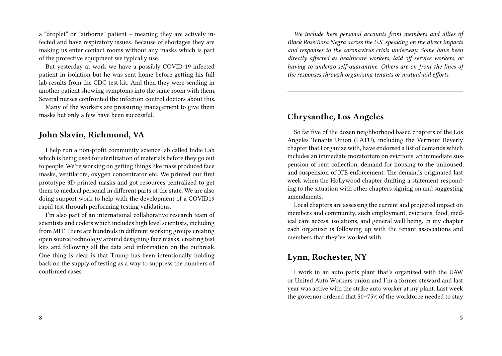a "droplet" or "airborne" patient – meaning they are actively infected and have respiratory issues. Because of shortages they are making us enter contact rooms without any masks which is part of the protective equipment we typically use.

But yesterday at work we have a possibly COVID-19 infected patient in isolation but he was sent home before getting his full lab results from the CDC test kit. And then they were sending in another patient showing symptoms into the same room with them. Several nurses confronted the infection control doctors about this.

Many of the workers are pressuring management to give them masks but only a few have been successful.

## **John Slavin, Richmond, VA**

I help run a non-profit community science lab called Indie Lab which is being used for sterilization of materials before they go out to people. We're working on getting things like mass produced face masks, ventilators, oxygen concentrator etc. We printed our first prototype 3D printed masks and got resources centralized to get them to medical personal in different parts of the state. We are also doing support work to help with the development of a COVID19 rapid test through performing testing validations.

I'm also part of an international collaborative research team of scientists and coders which includes high level scientists, including from MIT. There are hundreds in different working groups creating open source technology around designing face masks, creating test kits and following all the data and information on the outbreak. One thing is clear is that Trump has been intentionally holding back on the supply of testing as a way to suppress the numbers of confirmed cases.

*We include here personal accounts from members and allies of Black Rose/Rosa Negra across the U.S. speaking on the direct impacts and responses to the coronavirus crisis underway. Some have been directly affected as healthcare workers, laid off service workers, or having to undergo self-quarantine. Others are on front the lines of the responses through organizing tenants or mutual-aid efforts.*

# **Chrysanthe, Los Angeles**

So far five of the dozen neighborhood based chapters of the Los Angeles Tenants Union (LATU), including the Vermont Beverly chapter that I organize with, have endorsed a list of demands which includes an immediate moratorium on evictions, an immediate suspension of rent collection, demand for housing to the unhoused, and suspension of ICE enforcement. The demands originated last week when the Hollywood chapter drafting a statement responding to the situation with other chapters signing on and suggesting amendments.

Local chapters are assessing the current and projected impact on members and community, such employment, evictions, food, medical care access, isolations, and general well being. In my chapter each organizer is following up with the tenant associations and members that they've worked with.

## **Lynn, Rochester, NY**

I work in an auto parts plant that's organized with the UAW or United Auto Workers union and I'm a former steward and last year was active with the strike auto worker at my plant. Last week the governor ordered that 50–75% of the workforce needed to stay